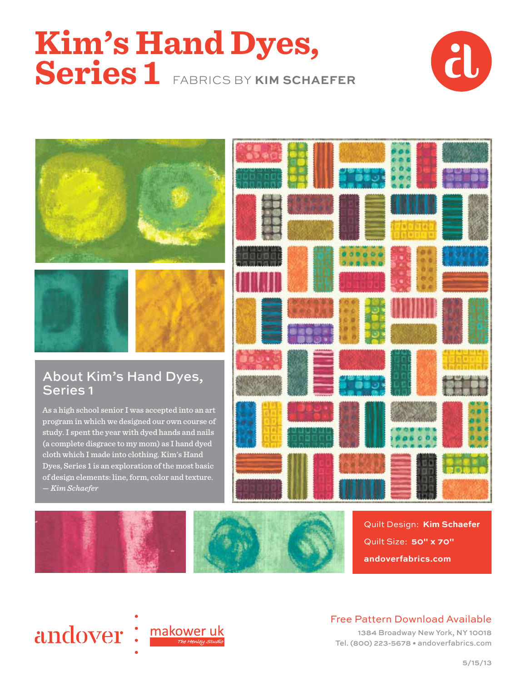# **Kim's Hand Dyes, Series 1** FABRICS BY **KIM SCHAEFER**





### About Kim's Hand Dyes, Series 1

As a high school senior I was accepted into an art program in which we designed our own course of study. I spent the year with dyed hands and nails (a complete disgrace to my mom) as I hand dyed cloth which I made into clothing. Kim's Hand Dyes, Series 1 is an exploration of the most basic of design elements: line, form, color and texture. — *Kim Schaefer*





Quilt Design: **Kim Schaefer** Quilt Size: **50" x 70" andoverfabrics.com**



#### Free Pattern Download Available

1384 Broadway New York, NY 10018 Tel. (800) 223-5678 • andoverfabrics.com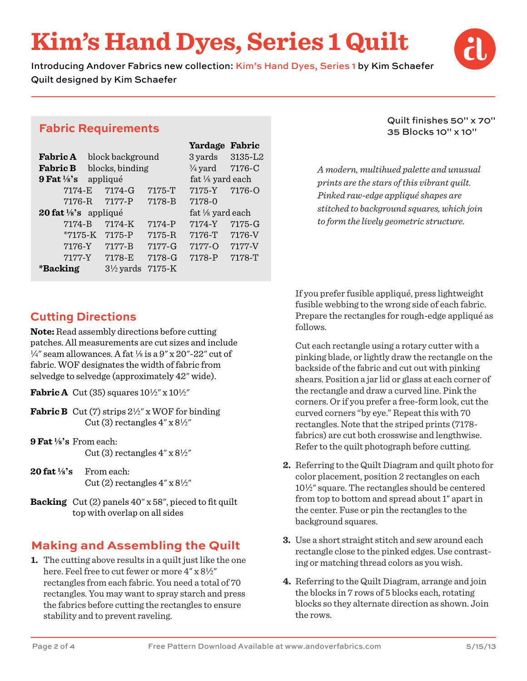### **Kim's Hand Dyes, Series 1 Quilt**

Introducing Andover Fabrics new collection: Kim's Hand Dyes, Series 1 by Kim Schaefer Quilt designed by Kim Schaefer



#### **Fabric Requirements**

|                                     |                      |            | Yardage            | Fabric     |
|-------------------------------------|----------------------|------------|--------------------|------------|
| <b>Fabric A</b><br>block background |                      |            | 3 yards            | 3135-L2    |
| <b>Fabric B</b>                     | blocks, binding      |            | $\frac{3}{4}$ yard | 7176-C     |
| 9 Fat $\frac{1}{8}$ 's              | appliqué             |            | fat 1/8 yard each  |            |
| 7174-E                              | $7174-G$             | 7175-T     | 7175-Y             | $7176 - 0$ |
| $7176 - R$                          | $7177 - P$           | 7178-B     | 7178-0             |            |
| 20 fat $\frac{1}{8}$ 's appliqué    |                      |            | fat 1/8 yard each  |            |
| 7174-B                              | 7174-K               | $7174 - P$ | 7174-Y             | 7175-G     |
| $*7175-K$                           | $7175 - P$           | $7175 - R$ | 7176-T             | 7176-V     |
| 7176-Y                              | $7177 - B$           | $7177 - G$ | $7177 - 0$         | 7177-V     |
| 7177-Y                              | 7178-E               | 7178-G     | 7178-P             | 7178-T     |
| *Backing                            | $3\frac{1}{2}$ yards | $7175 - K$ |                    |            |

#### Quilt finishes 50" x 70" 35 Blocks 10" x 10"

*A modern, multihued palette and unusual prints are the stars of this vibrant quilt. Pinked raw-edge appliqué shapes are stitched to background squares, which join to form the lively geometric structure.*

#### **Cutting Directions**

**Note:** Read assembly directions before cutting patches. All measurements are cut sizes and include  $\frac{1}{4}$ " seam allowances. A fat  $\frac{1}{8}$  is a 9" x 20"-22" cut of fabric. WOF designates the width of fabric from selvedge to selvedge (approximately 42" wide).

**Fabric A** Cut (35) squares  $10\frac{1}{2}$ " x  $10\frac{1}{2}$ "

- **Fabric B** Cut (7) strips  $2\frac{1}{2}$ " x WOF for binding Cut (3) rectangles  $4'' \times 8\frac{1}{2}''$
- **9 Fat 8's** From each:  $Cut(3)$  rectangles  $4''$  x  $8\frac{1}{2}''$
- **20 fat 8's** From each:  $Cut(2)$  rectangles  $4''$  x  $8\frac{1}{2}''$
- **Backing** Cut (2) panels 40" x 58", pieced to fit quilt top with overlap on all sides

### **Making and Assembling the Quilt**

**1.** The cutting above results in a quilt just like the one here. Feel free to cut fewer or more 4" x 81/2" rectangles from each fabric. You need a total of 70 rectangles. You may want to spray starch and press the fabrics before cutting the rectangles to ensure stability and to prevent raveling.

 If you prefer fusible appliqué, press lightweight fusible webbing to the wrong side of each fabric. Prepare the rectangles for rough-edge appliqué as follows.

 Cut each rectangle using a rotary cutter with a pinking blade, or lightly draw the rectangle on the backside of the fabric and cut out with pinking shears. Position a jar lid or glass at each corner of the rectangle and draw a curved line. Pink the corners. Or if you prefer a free-form look, cut the curved corners "by eye." Repeat this with 70 rectangles. Note that the striped prints (7178 fabrics) are cut both crosswise and lengthwise. Refer to the quilt photograph before cutting.

- **2.** Referring to the Quilt Diagram and quilt photo for color placement, position 2 rectangles on each  $10\frac{1}{2}$ " square. The rectangles should be centered from top to bottom and spread about 1" apart in the center. Fuse or pin the rectangles to the background squares.
- **3.** Use a short straight stitch and sew around each rectangle close to the pinked edges. Use contrasting or matching thread colors as you wish.
- **4.** Referring to the Quilt Diagram, arrange and join the blocks in 7 rows of 5 blocks each, rotating blocks so they alternate direction as shown. Join the rows.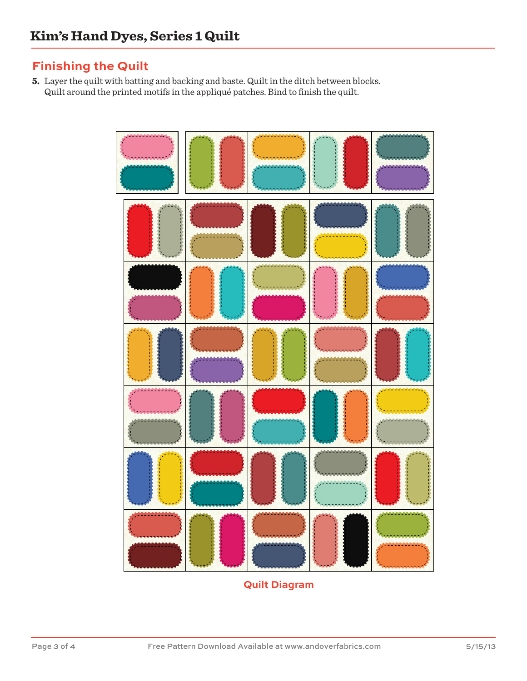#### **Finishing the Quilt**

**5.** Layer the quilt with batting and backing and baste. Quilt in the ditch between blocks. Quilt around the printed motifs in the appliqué patches. Bind to finish the quilt.



**Quilt Diagram**